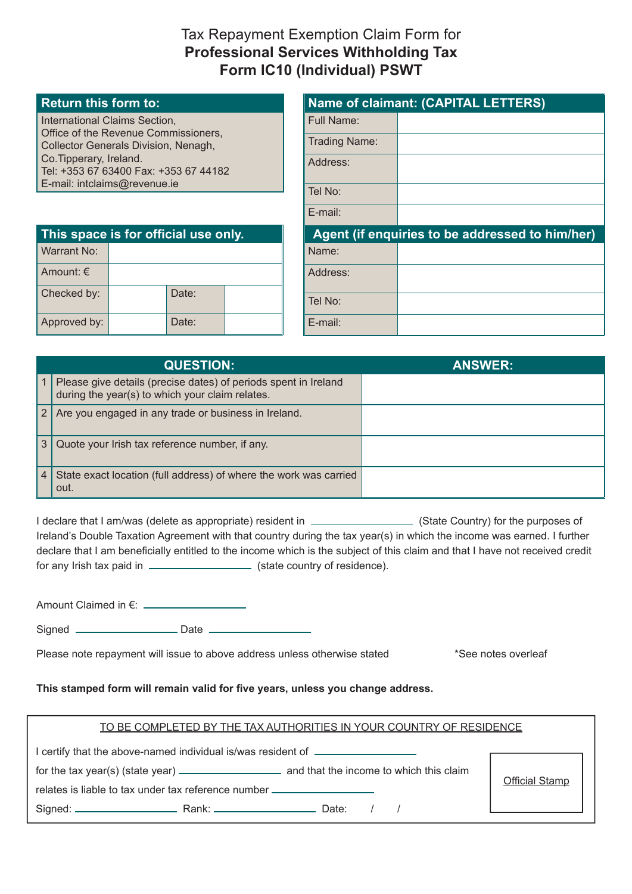# Tax Repayment Exemption Claim Form for **Professional Services Withholding Tax Form IC10 (Individual) PSWT**

#### **Return this form to:**

International Claims Section, Office of the Revenue Commissioners, Collector Generals Division, Nenagh, Co.Tipperary, Ireland. Tel: +353 67 63400 Fax: +353 67 44182 E-mail: intclaims@revenue.ie

| <b>Name of claimant: (CAPITAL LETTERS)</b> |                                                 |  |  |
|--------------------------------------------|-------------------------------------------------|--|--|
| Full Name:                                 |                                                 |  |  |
| Trading Name:                              |                                                 |  |  |
| Address:                                   |                                                 |  |  |
| Tel No:                                    |                                                 |  |  |
| $E$ -mail:                                 |                                                 |  |  |
|                                            |                                                 |  |  |
|                                            | Agent (if enquiries to be addressed to him/her) |  |  |
| Name:                                      |                                                 |  |  |
| Address:                                   |                                                 |  |  |
| Tel No:                                    |                                                 |  |  |

| This space is for official use only. |  |       |  |  |
|--------------------------------------|--|-------|--|--|
| Warrant No:                          |  |       |  |  |
| Amount: $\in$                        |  |       |  |  |
| Checked by:                          |  | Date: |  |  |
| Approved by:                         |  | Date: |  |  |

|                | <b>QUESTION:</b>                                                                                                   | <b>ANSWER:</b> |
|----------------|--------------------------------------------------------------------------------------------------------------------|----------------|
|                | Please give details (precise dates) of periods spent in Ireland<br>during the year(s) to which your claim relates. |                |
| $2^{\circ}$    | Are you engaged in any trade or business in Ireland.                                                               |                |
| 3              | Quote your Irish tax reference number, if any.                                                                     |                |
| $\overline{4}$ | State exact location (full address) of where the work was carried<br>out.                                          |                |

I declare that I am/was (delete as appropriate) resident in  $\Box$  (State Country) for the purposes of Ireland's Double Taxation Agreement with that country during the tax year(s) in which the income was earned. I further declare that I am beneficially entitled to the income which is the subject of this claim and that I have not received credit for any Irish tax paid in  $\frac{1}{\sqrt{1-\frac{1}{\sqrt{1-\frac{1}{\sqrt{1-\frac{1}{\sqrt{1-\frac{1}{\sqrt{1-\frac{1}{\sqrt{1-\frac{1}{\sqrt{1-\frac{1}{\sqrt{1-\frac{1}{\sqrt{1-\frac{1}{\sqrt{1-\frac{1}{\sqrt{1-\frac{1}{\sqrt{1-\frac{1}{\sqrt{1-\frac{1}{\sqrt{1-\frac{1}{\sqrt{1-\frac{1}{\sqrt{1-\frac{1}{\sqrt{1-\frac{1}{\sqrt{1-\frac{1}{\sqrt{1-\frac{1}{\sqrt{1-\frac{1}{\sqrt{1-\frac{1}{\$ 

Amount Claimed in €:

Signed **Date** Date **Date** 

Please note repayment will issue to above address unless otherwise stated \*See notes overleaf

#### **This stamped form will remain valid for five years, unless you change address.**

### TO BE COMPLETED BY THE TAX AUTHORITIES IN YOUR COUNTRY OF RESIDENCE

I certify that the above-named individual is/was resident of for the tax year(s) (state year) and that the income to which this claim relates is liable to tax under tax reference number Signed: Rank: Date: / / Official Stamp